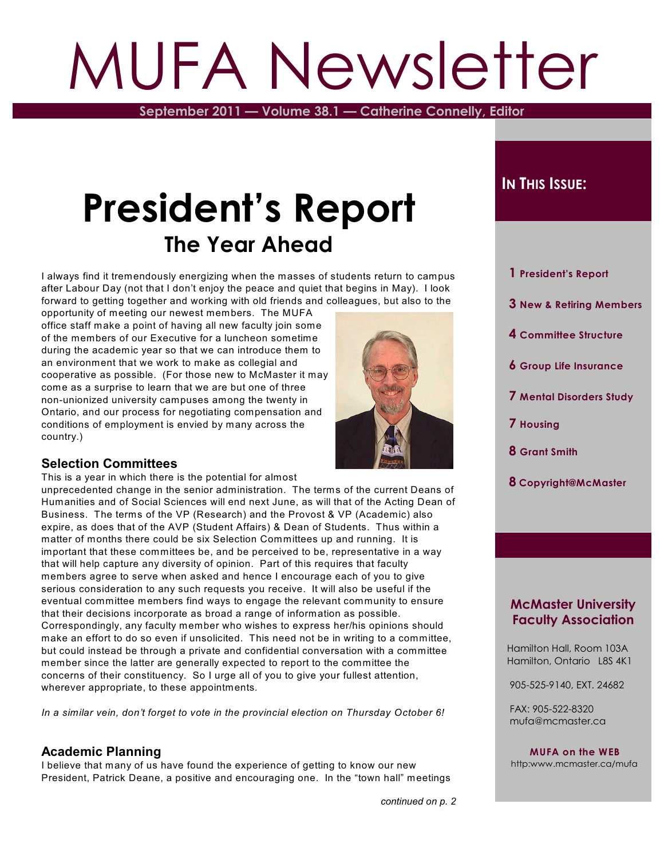# MUFA Newsletter

**September 2011 — Volume 38.1 — Catherine Connelly, Editor**

# **President's Report The Year Ahead**

I always find it tremendously energizing when the masses of students return to campus after Labour Day (not that I don't enjoy the peace and quiet that begins in May). I look forward to getting together and working with old friends and colleagues, but also to the

opportunity of meeting our newest members. The MUFA office staff make a point of having all new faculty join some of the members of our Executive for a luncheon sometime during the academic year so that we can introduce them to an environment that we work to make as collegial and cooperative as possible. (For those new to McMaster it may come as a surprise to learn that we are but one of three non-unionized university campuses among the twenty in Ontario, and our process for negotiating compensation and conditions of employment is envied by many across the country.)



#### **Selection Committees**

This is a year in which there is the potential for almost

unprecedented change in the senior administration. The terms of the current Deans of Humanities and of Social Sciences will end next June, as will that of the Acting Dean of Business. The terms of the VP (Research) and the Provost & VP (Academic) also expire, as does that of the AVP (Student Affairs) & Dean of Students. Thus within a matter of months there could be six Selection Committees up and running. It is important that these committees be, and be perceived to be, representative in a way that will help capture any diversity of opinion. Part of this requires that faculty members agree to serve when asked and hence I encourage each of you to give serious consideration to any such requests you receive. It will also be useful if the eventual committee members find ways to engage the relevant community to ensure that their decisions incorporate as broad a range of information as possible. Correspondingly, any faculty member who wishes to express her/his opinions should make an effort to do so even if unsolicited. This need not be in writing to a committee, but could instead be through a private and confidential conversation with a committee member since the latter are generally expected to report to the committee the concerns of their constituency. So I urge all of you to give your fullest attention, wherever appropriate, to these appointments*.*

*In a similar vein, don't forget to vote in the provincial election on Thursday October 6!*

#### **Academic Planning**

I believe that many of us have found the experience of getting to know our new President, Patrick Deane, a positive and encouraging one. In the "town hall" meetings

### $I$ **N THIS** *ISSUE***:**

- **1 President's Report**
- **3 New & Retiring Members**
- **4 Committee Structure**
- **6 Group Life Insurance**
- **7 Mental Disorders Study**
- **7 Housing**
- **8 Grant Smith**
- **8 Copyright@McMaster**

#### **McMaster University Faculty Association**

 Hamilton Hall, Room 103A Hamilton, Ontario L8S 4K1

905-525-9140, EXT. 24682

 FAX: 905-522-8320 mufa@mcmaster.ca

**MUFA on the WEB** http:www.mcmaster.ca/mufa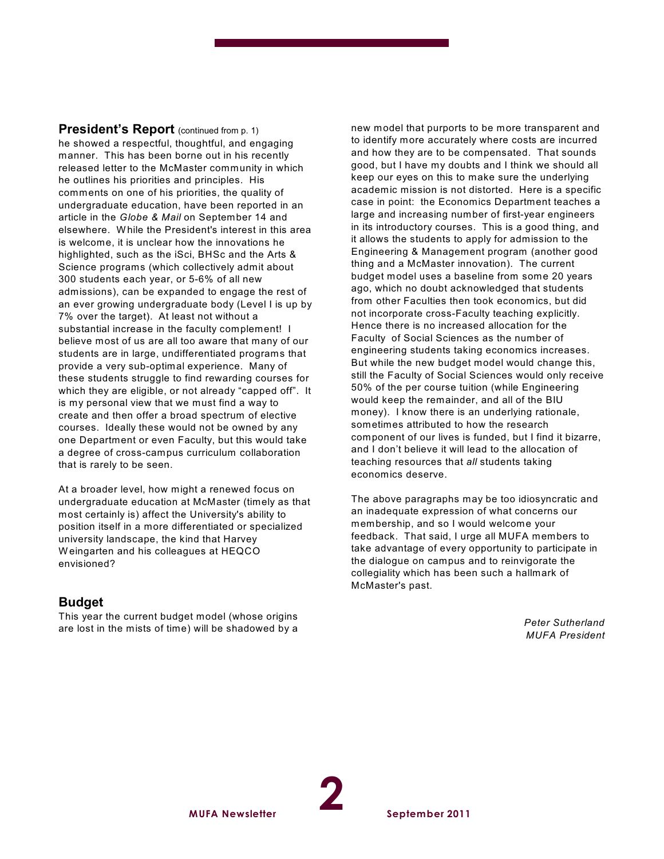**President's Report** (continued from p. 1) he showed a respectful, thoughtful, and engaging manner. This has been borne out in his recently released letter to the McMaster community in which he outlines his priorities and principles. His comments on one of his priorities, the quality of undergraduate education, have been reported in an article in the *Globe & Mail* on September 14 and elsewhere. W hile the President's interest in this area is welcome, it is unclear how the innovations he highlighted, such as the iSci, BHSc and the Arts & Science programs (which collectively admit about 300 students each year, or 5-6% of all new admissions), can be expanded to engage the rest of an ever growing undergraduate body (Level I is up by 7% over the target). At least not without a substantial increase in the faculty complement! I believe most of us are all too aware that many of our students are in large, undifferentiated programs that provide a very sub-optimal experience. Many of these students struggle to find rewarding courses for which they are eligible, or not already "capped off". It is my personal view that we must find a way to create and then offer a broad spectrum of elective courses. Ideally these would not be owned by any one Department or even Faculty, but this would take a degree of cross-campus curriculum collaboration that is rarely to be seen.

At a broader level, how might a renewed focus on undergraduate education at McMaster (timely as that most certainly is) affect the University's ability to position itself in a more differentiated or specialized university landscape, the kind that Harvey W eingarten and his colleagues at HEQCO envisioned?

#### **Budget**

This year the current budget model (whose origins are lost in the mists of time) will be shadowed by a

new model that purports to be more transparent and to identify more accurately where costs are incurred and how they are to be compensated. That sounds good, but I have my doubts and I think we should all keep our eyes on this to make sure the underlying academic mission is not distorted. Here is a specific case in point: the Economics Department teaches a large and increasing number of first-year engineers in its introductory courses. This is a good thing, and it allows the students to apply for admission to the Engineering & Management program (another good thing and a McMaster innovation). The current budget model uses a baseline from some 20 years ago, which no doubt acknowledged that students from other Faculties then took economics, but did not incorporate cross-Faculty teaching explicitly. Hence there is no increased allocation for the Faculty of Social Sciences as the number of engineering students taking economics increases. But while the new budget model would change this, still the Faculty of Social Sciences would only receive 50% of the per course tuition (while Engineering would keep the remainder, and all of the BIU money). I know there is an underlying rationale, sometimes attributed to how the research component of our lives is funded, but I find it bizarre, and I don't believe it will lead to the allocation of teaching resources that *all* students taking economics deserve.

The above paragraphs may be too idiosyncratic and an inadequate expression of what concerns our membership, and so I would welcome your feedback. That said, I urge all MUFA members to take advantage of every opportunity to participate in the dialogue on campus and to reinvigorate the collegiality which has been such a hallmark of McMaster's past.

> *Peter Sutherland MUFA President*

**2**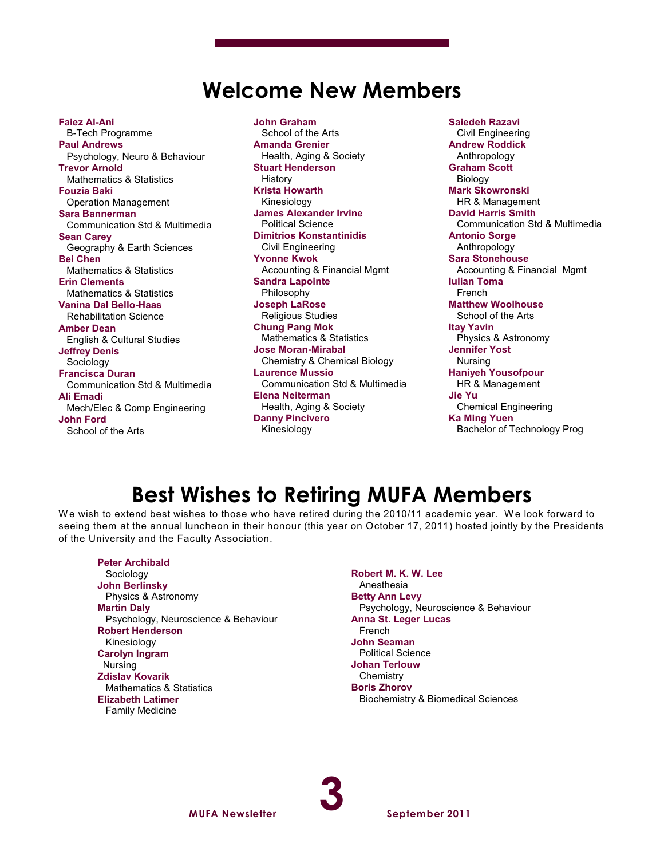# **Welcome New Members**

**Faiez Al-Ani** B-Tech Programme **Paul Andrews** Psychology, Neuro & Behaviour **Trevor Arnold** Mathematics & Statistics **Fouzia Baki** Operation Management **Sara Bannerman** Communication Std & Multimedia **Sean Carey** Geography & Earth Sciences **Bei Chen** Mathematics & Statistics **Erin Clements** Mathematics & Statistics **Vanina Dal Bello-Haas** Rehabilitation Science **Amber Dean** English & Cultural Studies **Jeffrey Denis** Sociology **Francisca Duran** Communication Std & Multimedia **Ali Emadi** Mech/Elec & Comp Engineering **John Ford** School of the Arts

**John Graham** School of the Arts **Amanda Grenier** Health, Aging & Society **Stuart Henderson** History **Krista Howarth** Kinesiology **James Alexander Irvine** Political Science **Dimitrios Konstantinidis** Civil Engineering **Yvonne Kwok** Accounting & Financial Mgmt **Sandra Lapointe** Philosophy **Joseph LaRose** Religious Studies **Chung Pang Mok** Mathematics & Statistics **Jose Moran-Mirabal** Chemistry & Chemical Biology **Laurence Mussio** Communication Std & Multimedia **Elena Neiterman** Health, Aging & Society **Danny Pincivero** Kinesiology

**Saiedeh Razavi** Civil Engineering **Andrew Roddick** Anthropology **Graham Scott** Biology **Mark Skowronski** HR & Management **David Harris Smith** Communication Std & Multimedia **Antonio Sorge** Anthropology **Sara Stonehouse** Accounting & Financial Mgmt **Iulian Toma** French **Matthew Woolhouse** School of the Arts **Itay Yavin** Physics & Astronomy **Jennifer Yost** Nursing **Haniyeh Yousofpour** HR & Management **Jie Yu** Chemical Engineering **Ka Ming Yuen** Bachelor of Technology Prog

# **Best Wishes to Retiring MUFA Members**

We wish to extend best wishes to those who have retired during the 2010/11 academic year. We look forward to seeing them at the annual luncheon in their honour (this year on October 17, 2011) hosted jointly by the Presidents of the University and the Faculty Association.

#### **Peter Archibald**

 Sociology **John Berlinsky** Physics & Astronomy **Martin Daly** Psychology, Neuroscience & Behaviour **Robert Henderson** Kinesiology **Carolyn Ingram** Nursing **Zdislav Kovarik** Mathematics & Statistics **Elizabeth Latimer** Family Medicine

**Robert M. K. W. Lee** Anesthesia **Betty Ann Levy** Psychology, Neuroscience & Behaviour **Anna St. Leger Lucas** French **John Seaman** Political Science **Johan Terlouw Chemistry Boris Zhorov** Biochemistry & Biomedical Sciences

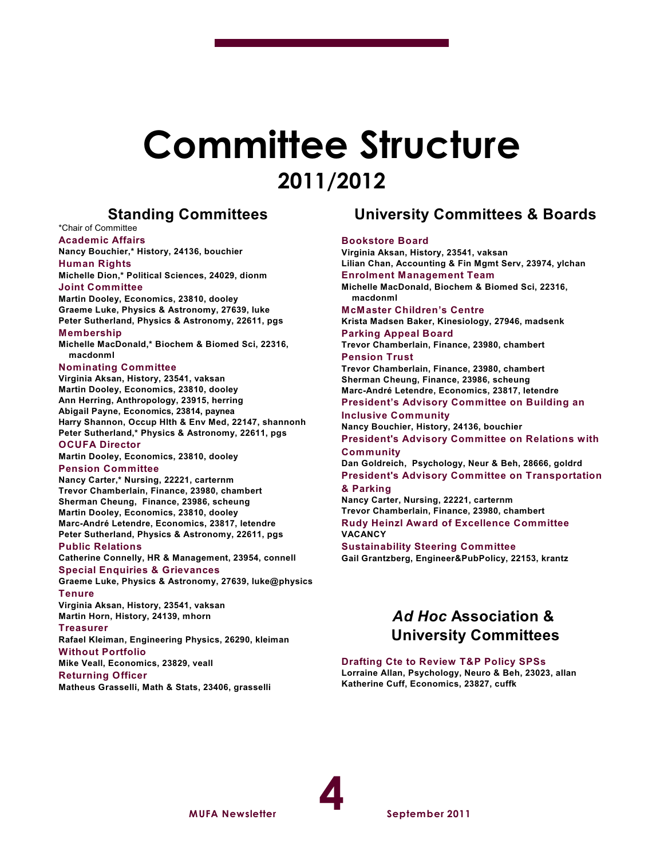# **Committee Structure 2011/2012**

#### **Standing Committees**

#### \*Chair of Committee

**Academic Affairs Nancy Bouchier,\* History, 24136, bouchier**

#### **Human Rights**

**Michelle Dion,\* Political Sciences, 24029, dionm Joint Committee**

**Martin Dooley, Economics, 23810, dooley Graeme Luke, Physics & Astronomy, 27639, luke Peter Sutherland, Physics & Astronomy, 22611, pgs**

#### **Membership**

**Michelle MacDonald,\* Biochem & Biomed Sci, 22316, macdonml**

#### **Nominating Committee**

**Virginia Aksan, History, 23541, vaksan Martin Dooley, Economics, 23810, dooley Ann Herring, Anthropology, 23915, herring Abigail Payne, Economics, 23814, paynea Harry Shannon, Occup Hlth & Env Med, 22147, shannonh Peter Sutherland,\* Physics & Astronomy, 22611, pgs OCUFA Director**

**Martin Dooley, Economics, 23810, dooley Pension Committee**

#### **Nancy Carter,\* Nursing, 22221, carternm Trevor Chamberlain, Finance, 23980, chambert**

**Sherman Cheung, Finance, 23986, scheung Martin Dooley, Economics, 23810, dooley Marc-André Letendre, Economics, 23817, letendre Peter Sutherland, Physics & Astronomy, 22611, pgs**

#### **Public Relations**

**Catherine Connelly, HR & Management, 23954, connell Special Enquiries & Grievances**

**Graeme Luke, Physics & Astronomy, 27639, luke@physics Tenure**

**MUFA Newsletter**

**Virginia Aksan, History, 23541, vaksan Martin Horn, History, 24139, mhorn**

#### **Treasurer**

**Rafael Kleiman, Engineering Physics, 26290, kleiman Without Portfolio**

**Mike Veall, Economics, 23829, veall**

**Returning Officer**

**Matheus Grasselli, Math & Stats, 23406, grasselli**

#### **University Committees & Boards**

#### **Bookstore Board**

**Virginia Aksan, History, 23541, vaksan Lilian Chan, Accounting & Fin Mgmt Serv, 23974, ylchan Enrolment Management Team Michelle MacDonald, Biochem & Biomed Sci, 22316, macdonml McMaster Children's Centre Krista Madsen Baker, Kinesiology, 27946, madsenk Parking Appeal Board Trevor Chamberlain, Finance, 23980, chambert Pension Trust Trevor Chamberlain, Finance, 23980, chambert Sherman Cheung, Finance, 23986, scheung Marc-André Letendre, Economics, 23817, letendre President's Advisory Committee on Building an Inclusive Community Nancy Bouchier, History, 24136, bouchier President's Advisory Committee on Relations with Community Dan Goldreich, Psychology, Neur & Beh, 28666, goldrd President's Advisory Committee on Transportation & Parking Nancy Carter, Nursing, 22221, carternm Trevor Chamberlain, Finance, 23980, chambert Rudy Heinzl Award of Excellence Committee VACANCY Sustainability Steering Committee Gail Grantzberg, Engineer&PubPolicy, 22153, krantz**

#### *Ad Hoc* **Association & University Committees**

#### **Drafting Cte to Review T&P Policy SPSs**

**Lorraine Allan, Psychology, Neuro & Beh, 23023, allan Katherine Cuff, Economics, 23827, cuffk**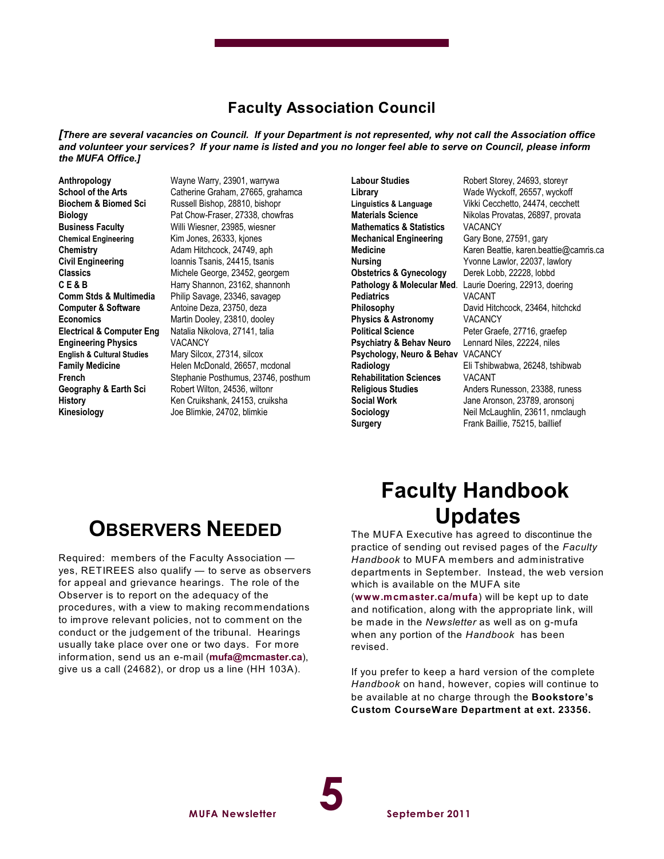#### **Faculty Association Council**

*[There are several vacancies on Council. If your Department is not represented, why not call the Association office and volunteer your services? If your name is listed and you no longer feel able to serve on Council, please inform the MUFA Office.]*

**Anthropology** Wayne Warry, 23901, warrywa **Computer & Software** Antoine Deza, 23750, deza **Engineering Physics** VACANCY **English & Cultural Studies** Mary Silcox, 27314, silcox **Kinesiology** Joe Blimkie, 24702, blimkie

**School of the Arts** Catherine Graham, 27665, grahamca **Biochem & Biomed Sci** Russell Bishop, 28810, bishopr<br>**Biology** Pat Chow-Fraser, 27338, chowf Pat Chow-Fraser, 27338, chowfras **Business Faculty** Willi Wiesner, 23985, wiesner<br> **Chemical Engineering Kim Jones, 26333, kjones** Kim Jones, 26333, kjones **Chemistry Chemistry Adam Hitchcock, 24749, aph Civil Engineering Ioannis Tsanis, 24415, tsanis Classics** Michele George, 23452, georgem **C E & B** Harry Shannon, 23162, shannonh **Comm Stds & Multimedia** Philip Savage, 23346, savagep **Economics** Martin Dooley, 23810, dooley **Electrical & Computer Eng** Natalia Nikolova, 27141, talia **Family Medicine** Helen McDonald, 26657, mcdonal **French** Stephanie Posthumus, 23746, posthum **Geography & Earth Sci** Robert Wilton, 24536, wiltonr **History** Ken Cruikshank, 24153, cruiksha

**Mathematics & Statistics** VACANCY **Mechanical Engineering** Gary Bone, 27591, gary **Obstetrics & Gynecology** Derek Lobb, 22228, lobbd **Pediatrics** VACANT **Physics & Astronomy** VACANCY **Political Science** Peter Graefe, 27716, graefep **Psychiatry & Behav Neuro** Lennard Niles, 22224, niles **Psychology, Neuro & Behav** VACANCY **Rehabilitation Sciences** VACANT

Labour Studies **Robert Storey, 24693**, storeyr **Library** Wade Wyckoff, 26557, wyckoff **Linguistics & Language** Vikki Cecchetto, 24474, cecchett **Materials Science** Nikolas Provatas, 26897, provata Medicine **Medicine** Karen Beattie, karen.beattie@camris.ca **Nursing** Yvonne Lawlor, 22037, lawlory **Pathology & Molecular Med**. Laurie Doering, 22913, doering **Philosophy** David Hitchcock, 23464, hitchckd **Radiology** Eli Tshibwabwa, 26248, tshibwab **Religious Studies Anders Runesson, 23388, runess Social Work** Jane Aronson, 23789, aronsonj **Sociology** Neil McLaughlin, 23611, nmclaugh **Surgery** Frank Baillie, 75215, baillief

### **OBSERVERS NEEDED**

Required: members of the Faculty Association yes, RETIREES also qualify — to serve as observers for appeal and grievance hearings. The role of the Observer is to report on the adequacy of the procedures, with a view to making recommendations to improve relevant policies, not to comment on the conduct or the judgement of the tribunal. Hearings usually take place over one or two days. For more information, send us an e-mail (**[mufa@mcmaster.ca](mailto:mufa@mcmaster.ca),)**), give us a call (24682), or drop us a line (HH 103A).

# **Faculty Handbook Updates**

The MUFA Executive has agreed to discontinue the practice of sending out revised pages of the *Faculty Handbook* to MUFA members and administrative departments in September. Instead, the web version which is available on the MUFA site

(**[www.mcmaster.ca/mufa](http://www.mcmaster.ca/mufa))**) will be kept up to date and notification, along with the appropriate link, will be made in the *Newsletter* as well as on g-mufa when any portion of the *Handbook* has been revised.

If you prefer to keep a hard version of the complete *Handbook* on hand, however, copies will continue to be available at no charge through the **Bookstore's Custom CourseWare Department at ext. 23356.**

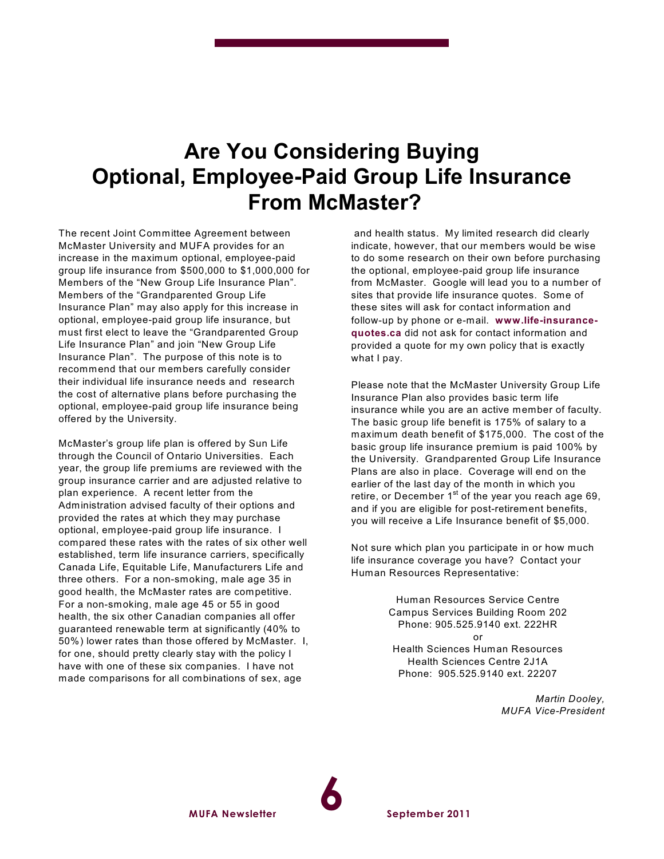# **Are You Considering Buying Optional, Employee-Paid Group Life Insurance From McMaster?**

The recent Joint Committee Agreement between McMaster University and MUFA provides for an increase in the maximum optional, employee-paid group life insurance from \$500,000 to \$1,000,000 for Members of the "New Group Life Insurance Plan". Members of the "Grandparented Group Life Insurance Plan" may also apply for this increase in optional, employee-paid group life insurance, but must first elect to leave the "Grandparented Group Life Insurance Plan" and join "New Group Life Insurance Plan". The purpose of this note is to recommend that our members carefully consider their individual life insurance needs and research the cost of alternative plans before purchasing the optional, employee-paid group life insurance being offered by the University.

McMaster's group life plan is offered by Sun Life through the Council of Ontario Universities. Each year, the group life premiums are reviewed with the group insurance carrier and are adjusted relative to plan experience. A recent letter from the Administration advised faculty of their options and provided the rates at which they may purchase optional, employee-paid group life insurance. I compared these rates with the rates of six other well established, term life insurance carriers, specifically Canada Life, Equitable Life, Manufacturers Life and three others. For a non-smoking, male age 35 in good health, the McMaster rates are competitive. For a non-smoking, male age 45 or 55 in good health, the six other Canadian companies all offer guaranteed renewable term at significantly (40% to 50%) lower rates than those offered by McMaster. I, for one, should pretty clearly stay with the policy I have with one of these six companies. I have not made comparisons for all combinations of sex, age

**MUFA Newsletter**

and health status. My limited research did clearly indicate, however, that our members would be wise to do some research on their own before purchasing the optional, employee-paid group life insurance from McMaster. Google will lead you to a number of sites that provide life insurance quotes. Some of these sites will ask for contact information and follow-up by phone or e-mail. **[www.life-insurance](http://www.life-insurance-quotes.ca)[quotes.ca](http://www.life-insurance-quotes.ca)** did not ask for contact information and provided a quote for my own policy that is exactly what I pay.

Please note that the McMaster University Group Life Insurance Plan also provides basic term life insurance while you are an active member of faculty. The basic group life benefit is 175% of salary to a maximum death benefit of \$175,000. The cost of the basic group life insurance premium is paid 100% by the University. Grandparented Group Life Insurance Plans are also in place. Coverage will end on the earlier of the last day of the month in which you retire, or December 1<sup>st</sup> of the year you reach age 69, and if you are eligible for post-retirement benefits, you will receive a Life Insurance benefit of \$5,000.

Not sure which plan you participate in or how much life insurance coverage you have? Contact your Human Resources Representative:

> Human Resources Service Centre Campus Services Building Room 202 Phone: 905.525.9140 ext. 222HR or Health Sciences Human Resources Health Sciences Centre 2J1A Phone: 905.525.9140 ext. 22207

> > *Martin Dooley, MUFA Vice-President*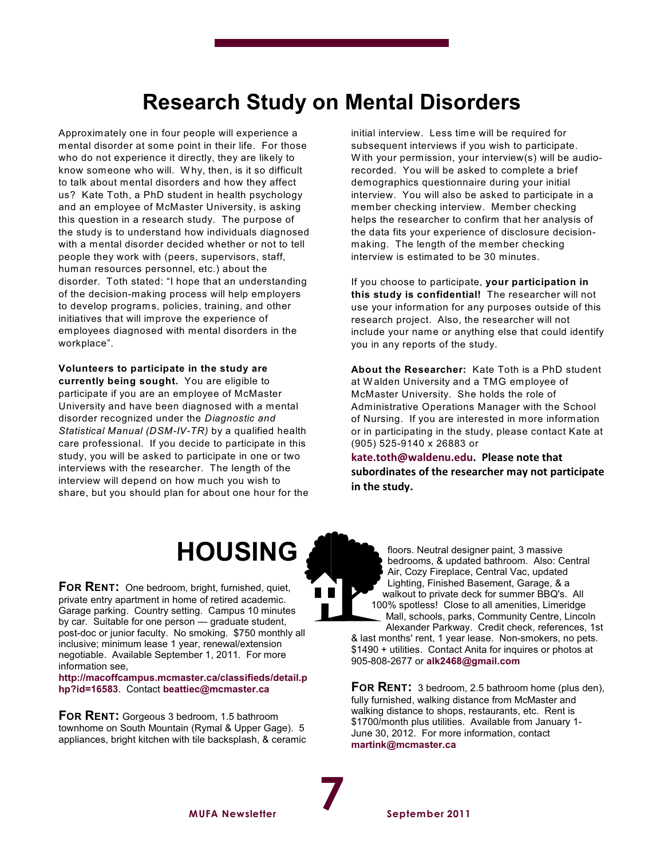# **Research Study on Mental Disorders**

Approximately one in four people will experience a mental disorder at some point in their life. For those who do not experience it directly, they are likely to know someone who will. W hy, then, is it so difficult to talk about mental disorders and how they affect us? Kate Toth, a PhD student in health psychology and an employee of McMaster University, is asking this question in a research study. The purpose of the study is to understand how individuals diagnosed with a mental disorder decided whether or not to tell people they work with (peers, supervisors, staff, human resources personnel, etc.) about the disorder. Toth stated: "I hope that an understanding of the decision-making process will help employers to develop programs, policies, training, and other initiatives that will improve the experience of employees diagnosed with mental disorders in the workplace".

**Volunteers to participate in the study are currently being sought.** You are eligible to participate if you are an employee of McMaster University and have been diagnosed with a mental disorder recognized under the *Diagnostic and Statistical Manual (DSM-IV-TR)* by a qualified health care professional. If you decide to participate in this study, you will be asked to participate in one or two interviews with the researcher. The length of the interview will depend on how much you wish to share, but you should plan for about one hour for the initial interview. Less time will be required for subsequent interviews if you wish to participate. W ith your permission, your interview(s) will be audiorecorded. You will be asked to complete a brief demographics questionnaire during your initial interview. You will also be asked to participate in a member checking interview. Member checking helps the researcher to confirm that her analysis of the data fits your experience of disclosure decisionmaking. The length of the member checking interview is estimated to be 30 minutes.

If you choose to participate, **your participation in this study is confidential!** The researcher will not use your information for any purposes outside of this research project. Also, the researcher will not include your name or anything else that could identify you in any reports of the study.

**About the Researcher:** Kate Toth is a PhD student at W alden University and a TMG employee of McMaster University. She holds the role of Administrative Operations Manager with the School of Nursing. If you are interested in more information or in participating in the study, please contact Kate at (905) 525-9140 x 26883 or

**[kate.toth@waldenu.edu](mailto:kate.toth@waldenu.edu). Please note that subordinates of the researcher may not participate in the study.**



**FOR RENT:** One bedroom, bright, furnished, quiet, private entry apartment in home of retired academic. Garage parking. Country setting. Campus 10 minutes by car. Suitable for one person — graduate student, post-doc or junior faculty. No smoking. \$750 monthly all inclusive; minimum lease 1 year, renewal/extension negotiable. Available September 1, 2011. For more information see,

**[http://macoffcampus.mcmaster.ca/classifieds/detail.p](http://macoffcampus.mcmaster.ca/classifieds/detail.php?id=16583) [hp?id=16583](http://macoffcampus.mcmaster.ca/classifieds/detail.php?id=16583)**. Contact **[beattiec@mcmaster.ca](mailto:beattiec@mcmaster.ca)**

**FOR RENT:** Gorgeous 3 bedroom, 1.5 bathroom townhome on South Mountain (Rymal & Upper Gage). 5 appliances, bright kitchen with tile backsplash, & ceramic

floors. Neutral designer paint, 3 massive bedrooms, & updated bathroom. Also: Central Air, Cozy Fireplace, Central Vac, updated Lighting, Finished Basement, Garage, & a walkout to private deck for summer BBQ's. All 100% spotless! Close to all amenities, Limeridge Mall, schools, parks, Community Centre, Lincoln

Alexander Parkway. Credit check, references, 1st & last months' rent, 1 year lease. Non-smokers, no pets. \$1490 + utilities. Contact Anita for inquires or photos at 905-808-2677 or **[alk2468@gmail.com](mailto:alk2468@gmail.com)**

**FOR RENT:** 3 bedroom, 2.5 bathroom home (plus den), fully furnished, walking distance from McMaster and walking distance to shops, restaurants, etc. Rent is \$1700/month plus utilities. Available from January 1- June 30, 2012. For more information, contact **[martink@mcmaster.ca](mailto:martink@mcmaster.ca)**